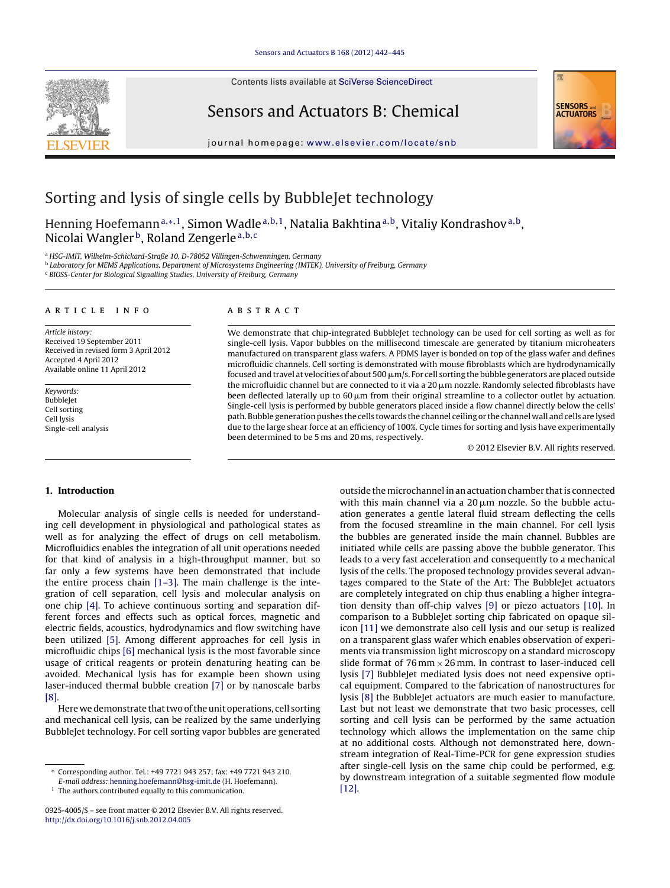Contents lists available at SciVerse [ScienceDirect](http://www.sciencedirect.com/science/journal/09254005)







jou rnal homepage: [www.elsevier.com/locate/snb](http://www.elsevier.com/locate/snb)

# Sorting and lysis of single cells by BubbleJet technology

Henning Hoefemann<sup>a,∗,1</sup>, Simon Wadle<sup>a,b,1</sup>, Natalia Bakhtina<sup>a,b</sup>, Vitaliy Kondrashov<sup>a,b</sup>, Nicolai Wangler<sup>b</sup>, Roland Zengerle<sup>a,b,c</sup>

<sup>a</sup> HSG-IMIT, Wilhelm-Schickard-Straße 10, D-78052 Villingen-Schwenningen, Germany

<sup>b</sup> Laboratory for MEMS Applications, Department of Microsystems Engineering (IMTEK), University of Freiburg, Germany

<sup>c</sup> BIOSS-Center for Biological Signalling Studies, University of Freiburg, Germany

#### a r t i c l e i n f o

Article history: Received 19 September 2011 Received in revised form 3 April 2012 Accepted 4 April 2012 Available online 11 April 2012

Keywords: BubbleJet Cell sorting Cell lysis Single-cell analysis

#### A B S T R A C T

We demonstrate that chip-integrated BubbleJet technology can be used for cell sorting as well as for single-cell lysis. Vapor bubbles on the millisecond timescale are generated by titanium microheaters manufactured on transparent glass wafers. A PDMS layer is bonded on top of the glass wafer and defines microfluidic channels. Cell sorting is demonstrated with mouse fibroblasts which are hydrodynamically focused and travel at velocities of about 500  $\mu$ m/s. For cell sorting the bubble generators are placed outside the microfluidic channel but are connected to it via a 20  $\mu$ m nozzle. Randomly selected fibroblasts have been deflected laterally up to 60  $\mu$ m from their original streamline to a collector outlet by actuation. Single-cell lysis is performed by bubble generators placed inside a flow channel directly below the cells' path. Bubble generation pushes the cells towards the channel ceiling or the channel wall and cells are lysed due to the large shear force at an efficiency of 100%. Cycle times for sorting and lysis have experimentally been determined to be 5 ms and 20 ms, respectively.

© 2012 Elsevier B.V. All rights reserved.

## **1. Introduction**

Molecular analysis of single cells is needed for understanding cell development in physiological and pathological states as well as for analyzing the effect of drugs on cell metabolism. Microfluidics enables the integration of all unit operations needed for that kind of analysis in a high-throughput manner, but so far only a few systems have been demonstrated that include the entire process chain [\[1–3\].](#page-3-0) The main challenge is the integration of cell separation, cell lysis and molecular analysis on one chip [\[4\].](#page-3-0) To achieve continuous sorting and separation different forces and effects such as optical forces, magnetic and electric fields, acoustics, hydrodynamics and flow switching have been utilized [\[5\].](#page-3-0) Among different approaches for cell lysis in microfluidic chips [\[6\]](#page-3-0) mechanical lysis is the most favorable since usage of critical reagents or protein denaturing heating can be avoided. Mechanical lysis has for example been shown using laser-induced thermal bubble creation [\[7\]](#page-3-0) or by nanoscale barbs [\[8\].](#page-3-0)

Here we demonstrate that two of the unit operations, cell sorting and mechanical cell lysis, can be realized by the same underlying BubbleJet technology. For cell sorting vapor bubbles are generated outside the microchannel in an actuation chamber that is connected with this main channel via a 20  $\mu$ m nozzle. So the bubble actuation generates a gentle lateral fluid stream deflecting the cells from the focused streamline in the main channel. For cell lysis the bubbles are generated inside the main channel. Bubbles are initiated while cells are passing above the bubble generator. This leads to a very fast acceleration and consequently to a mechanical lysis of the cells. The proposed technology provides several advantages compared to the State of the Art: The BubbleJet actuators are completely integrated on chip thus enabling a higher integration density than off-chip valves [\[9\]](#page-3-0) or piezo actuators [\[10\].](#page-3-0) In comparison to a BubbleJet sorting chip fabricated on opaque silicon [\[11\]](#page-3-0) we demonstrate also cell lysis and our setup is realized on a transparent glass wafer which enables observation of experiments via transmission light microscopy on a standard microscopy slide format of  $76$  mm  $\times$  26 mm. In contrast to laser-induced cell lysis [\[7\]](#page-3-0) BubbleJet mediated lysis does not need expensive optical equipment. Compared to the fabrication of nanostructures for lysis [\[8\]](#page-3-0) the BubbleJet actuators are much easier to manufacture. Last but not least we demonstrate that two basic processes, cell sorting and cell lysis can be performed by the same actuation technology which allows the implementation on the same chip at no additional costs. Although not demonstrated here, downstream integration of Real-Time-PCR for gene expression studies after single-cell lysis on the same chip could be performed, e.g. by downstream integration of a suitable segmented flow module [\[12\].](#page-3-0)

<sup>∗</sup> Corresponding author. Tel.: +49 7721 943 257; fax: +49 7721 943 210.

E-mail address: [henning.hoefemann@hsg-imit.de](mailto:henning.hoefemann@hsg-imit.de) (H. Hoefemann).

<sup>&</sup>lt;sup>1</sup> The authors contributed equally to this communication.

<sup>0925-4005/\$</sup> – see front matter © 2012 Elsevier B.V. All rights reserved. [http://dx.doi.org/10.1016/j.snb.2012.04.005](dx.doi.org/10.1016/j.snb.2012.04.005)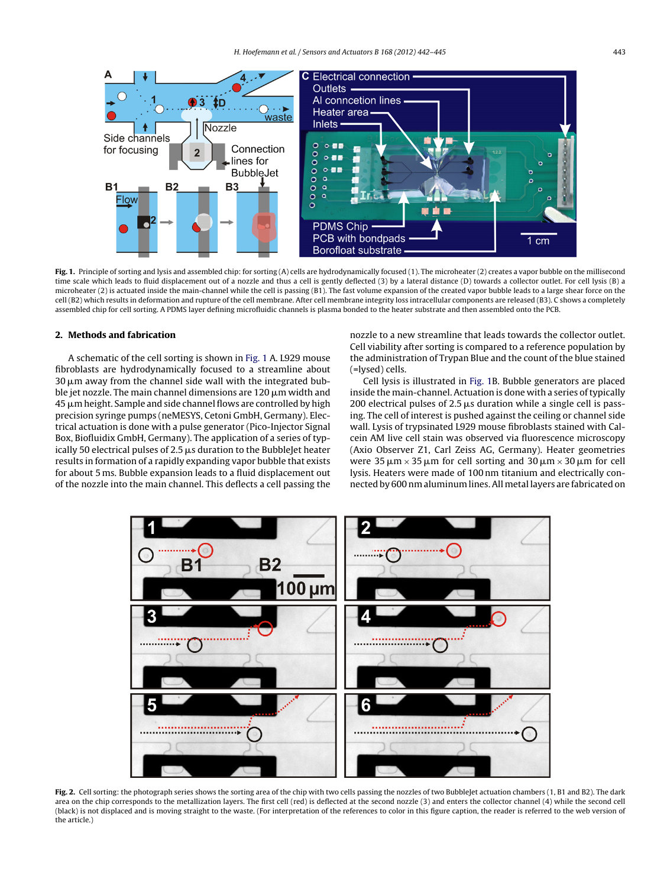<span id="page-1-0"></span>

**Fig. 1.** Principle of sorting and lysis and assembled chip: for sorting (A) cells are hydrodynamically focused (1). The microheater (2) creates a vapor bubble on the millisecond time scale which leads to fluid displacement out of a nozzle and thus a cell is gently deflected (3) by a lateral distance (D) towards a collector outlet. For cell lysis (B) a microheater (2) is actuated inside the main-channel while the cell is passing (B1). The fast volume expansion of the created vapor bubble leads to a large shear force on the cell (B2) which results in deformation and rupture of the cell membrane. After cell membrane integrity loss intracellular components are released (B3). C shows a completely assembled chip for cell sorting. A PDMS layer defining microfluidic channels is plasma bonded to the heater substrate and then assembled onto the PCB.

## **2. Methods and fabrication**

A schematic of the cell sorting is shown in Fig. 1 A. L929 mouse fibroblasts are hydrodynamically focused to a streamline about 30  $\mu$ m away from the channel side wall with the integrated bubble jet nozzle. The main channel dimensions are 120  $\mu$ m width and  $45\,\rm \mu m$  height. Sample and side channel flows are controlled by high precision syringe pumps (neMESYS, Cetoni GmbH, Germany). Electrical actuation is done with a pulse generator (Pico-Injector Signal Box, Biofluidix GmbH, Germany). The application of a series of typically 50 electrical pulses of 2.5  $\mu$ s duration to the BubbleJet heater results in formation of a rapidly expanding vapor bubble that exists for about 5 ms. Bubble expansion leads to a fluid displacement out of the nozzle into the main channel. This deflects a cell passing the nozzle to a new streamline that leads towards the collector outlet. Cell viability after sorting is compared to a reference population by the administration of Trypan Blue and the count of the blue stained (=lysed) cells.

Cell lysis is illustrated in Fig. 1B. Bubble generators are placed inside the main-channel. Actuation is done with a series of typically 200 electrical pulses of 2.5  $\mu$ s duration while a single cell is passing. The cell of interest is pushed against the ceiling or channel side wall. Lysis of trypsinated L929 mouse fibroblasts stained with Calcein AM live cell stain was observed via fluorescence microscopy (Axio Observer Z1, Carl Zeiss AG, Germany). Heater geometries were  $35 \mu m \times 35 \mu m$  for cell sorting and  $30 \mu m \times 30 \mu m$  for cell lysis. Heaters were made of 100 nm titanium and electrically connected by 600 nm aluminum lines.All metal layers are fabricated on



Fig. 2. Cell sorting: the photograph series shows the sorting area of the chip with two cells passing the nozzles of two BubbleJet actuation chambers (1, B1 and B2). The dark area on the chip corresponds to the metallization layers. The first cell (red) is deflected at the second nozzle (3) and enters the collector channel (4) while the second cell (black) is not displaced and is moving straight to the waste. (For interpretation of the references to color in this figure caption, the reader is referred to the web version of the article.)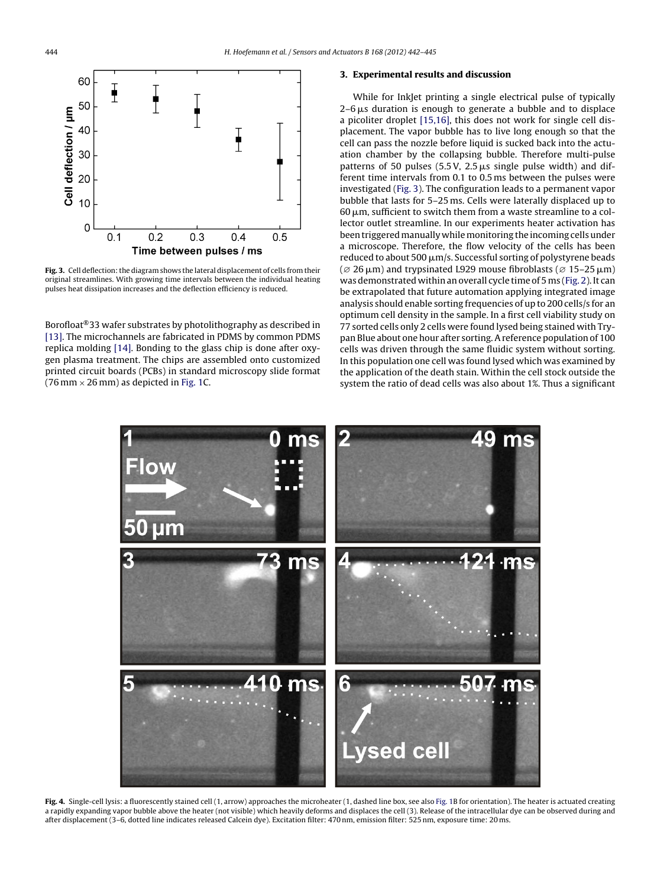<span id="page-2-0"></span>

Fig. 3. Cell deflection: the diagram shows the lateral displacement of cells from their original streamlines. With growing time intervals between the individual heating pulses heat dissipation increases and the deflection efficiency is reduced.

Borofloat®33 wafer substrates by photolithography as described in [\[13\].](#page-3-0) The microchannels are fabricated in PDMS by common PDMS replica molding [\[14\].](#page-3-0) Bonding to the glass chip is done after oxygen plasma treatment. The chips are assembled onto customized printed circuit boards (PCBs) in standard microscopy slide format (76 mm  $\times$  26 mm) as depicted in [Fig.](#page-1-0) 1C.

## **3. Experimental results and discussion**

While for InkJet printing a single electrical pulse of typically  $2\text{--}6\,\mu\text{s}$  duration is enough to generate a bubble and to displace a picoliter droplet [\[15,16\],](#page-3-0) this does not work for single cell displacement. The vapor bubble has to live long enough so that the cell can pass the nozzle before liquid is sucked back into the actuation chamber by the collapsing bubble. Therefore multi-pulse patterns of 50 pulses  $(5.5 \text{ V}, 2.5 \mu s)$  single pulse width) and different time intervals from 0.1 to 0.5 ms between the pulses were investigated (Fig. 3). The configuration leads to a permanent vapor bubble that lasts for 5–25 ms. Cells were laterally displaced up to 60  $\mu$ m, sufficient to switch them from a waste streamline to a collector outlet streamline. In our experiments heater activation has been triggered manually while monitoring the incoming cells under a microscope. Therefore, the flow velocity of the cells has been reduced to about 500  $\mu$ m/s. Successful sorting of polystyrene beads  $\varphi$  26 μm) and trypsinated L929 mouse fibroblasts ( $\varnothing$  15–25 μm) was demonstrated within an overall cycle time of 5 ms [\(Fig.](#page-1-0) 2). It can be extrapolated that future automation applying integrated image analysis should enable sorting frequencies of up to 200 cells/s for an optimum cell density in the sample. In a first cell viability study on 77 sorted cells only 2 cells were found lysed being stained with Trypan Blue about one hour after sorting.Areference population of 100 cells was driven through the same fluidic system without sorting. In this population one cell was found lysed which was examined by the application of the death stain. Within the cell stock outside the system the ratio of dead cells was also about 1%. Thus a significant



[Fig.](#page-1-0) 4. Single-cell lysis: a fluorescently stained cell (1, arrow) approaches the microheater (1, dashed line box, see also Fig. [1B](#page-1-0) for orientation). The heater is actuated creating a rapidly expanding vapor bubble above the heater (not visible) which heavily deforms and displaces the cell (3). Release of the intracellular dye can be observed during and after displacement (3–6, dotted line indicates released Calcein dye). Excitation filter: 470 nm, emission filter: 525 nm, exposure time: 20 ms.